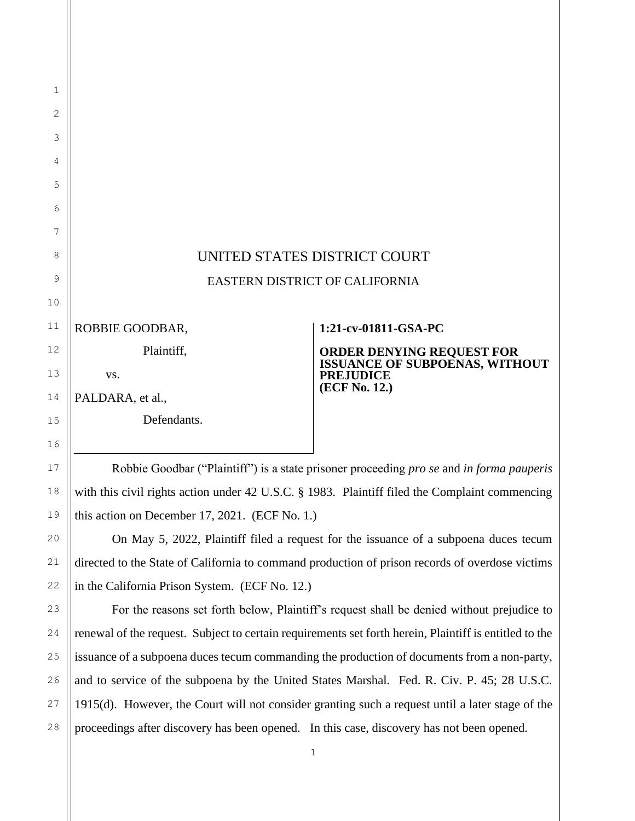## UNITED STATES DISTRICT COURT EASTERN DISTRICT OF CALIFORNIA

ROBBIE GOODBAR,

Plaintiff,

vs.

PALDARA, et al.,

Defendants.

## **1:21-cv-01811-GSA-PC**

**ORDER DENYING REQUEST FOR ISSUANCE OF SUBPOENAS, WITHOUT PREJUDICE (ECF No. 12.)**

Robbie Goodbar ("Plaintiff") is a state prisoner proceeding *pro se* and *in forma pauperis* with this civil rights action under 42 U.S.C. § 1983. Plaintiff filed the Complaint commencing this action on December 17, 2021. (ECF No. 1.)

On May 5, 2022, Plaintiff filed a request for the issuance of a subpoena duces tecum directed to the State of California to command production of prison records of overdose victims in the California Prison System. (ECF No. 12.)

For the reasons set forth below, Plaintiff's request shall be denied without prejudice to renewal of the request. Subject to certain requirements set forth herein, Plaintiff is entitled to the issuance of a subpoena duces tecum commanding the production of documents from a non-party, and to service of the subpoena by the United States Marshal. Fed. R. Civ. P. 45; 28 U.S.C. 1915(d). However, the Court will not consider granting such a request until a later stage of the proceedings after discovery has been opened. In this case, discovery has not been opened.

1

2

3

4

5

6

7

8

9

10

11

12

13

14

15

16

17

18

19

20

21

22

23

24

25

26

27

28